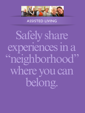

## **Example 25 ASSISTED LIVING II**

Safely share experiences in a "neighborhood" where you can belong.